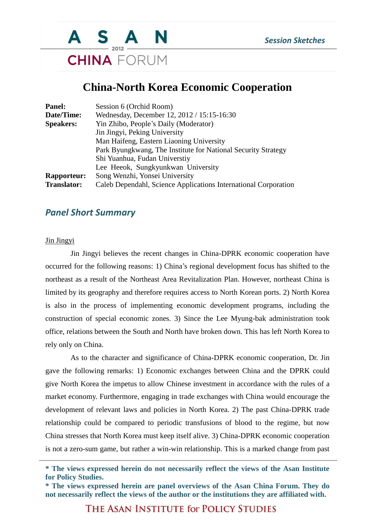

### **China-North Korea Economic Cooperation**

| Panel:             | Session 6 (Orchid Room)                                         |
|--------------------|-----------------------------------------------------------------|
| Date/Time:         | Wednesday, December 12, 2012 / 15:15-16:30                      |
| <b>Speakers:</b>   | Yin Zhibo, People's Daily (Moderator)                           |
|                    | Jin Jingyi, Peking University                                   |
|                    | Man Haifeng, Eastern Liaoning University                        |
|                    | Park Byungkwang, The Institute for National Security Strategy   |
|                    | Shi Yuanhua, Fudan Universtiy                                   |
|                    | Lee Heeok, Sungkyunkwan University                              |
| <b>Rapporteur:</b> | Song Wenzhi, Yonsei University                                  |
| <b>Translator:</b> | Caleb Dependahl, Science Applications International Corporation |

### *Panel Short Summary*

#### Jin Jingyi

Jin Jingyi believes the recent changes in China-DPRK economic cooperation have occurred for the following reasons: 1) China's regional development focus has shifted to the northeast as a result of the Northeast Area Revitalization Plan. However, northeast China is limited by its geography and therefore requires access to North Korean ports. 2) North Korea is also in the process of implementing economic development programs, including the construction of special economic zones. 3) Since the Lee Myung-bak administration took office, relations between the South and North have broken down. This has left North Korea to rely only on China.

As to the character and significance of China-DPRK economic cooperation, Dr. Jin gave the following remarks: 1) Economic exchanges between China and the DPRK could give North Korea the impetus to allow Chinese investment in accordance with the rules of a market economy. Furthermore, engaging in trade exchanges with China would encourage the development of relevant laws and policies in North Korea. 2) The past China-DPRK trade relationship could be compared to periodic transfusions of blood to the regime, but now China stresses that North Korea must keep itself alive. 3) China-DPRK economic cooperation is not a zero-sum game, but rather a win-win relationship. This is a marked change from past

**<sup>\*</sup> The views expressed herein do not necessarily reflect the views of the Asan Institute for Policy Studies.**

**<sup>\*</sup> The views expressed herein are panel overviews of the Asan China Forum. They do not necessarily reflect the views of the author or the institutions they are affiliated with.**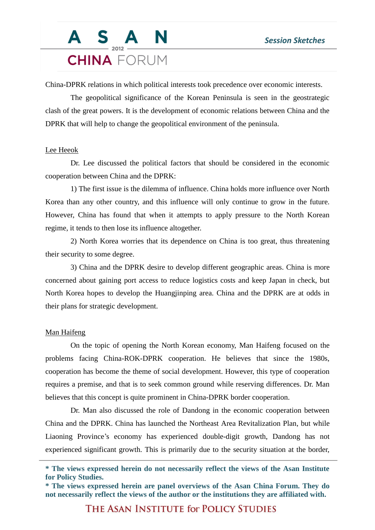### S A N **CHINA** FORUM

China-DPRK relations in which political interests took precedence over economic interests.

The geopolitical significance of the Korean Peninsula is seen in the geostrategic clash of the great powers. It is the development of economic relations between China and the DPRK that will help to change the geopolitical environment of the peninsula.

#### Lee Heeok

Dr. Lee discussed the political factors that should be considered in the economic cooperation between China and the DPRK:

1) The first issue is the dilemma of influence. China holds more influence over North Korea than any other country, and this influence will only continue to grow in the future. However, China has found that when it attempts to apply pressure to the North Korean regime, it tends to then lose its influence altogether.

2) North Korea worries that its dependence on China is too great, thus threatening their security to some degree.

3) China and the DPRK desire to develop different geographic areas. China is more concerned about gaining port access to reduce logistics costs and keep Japan in check, but North Korea hopes to develop the Huangjinping area. China and the DPRK are at odds in their plans for strategic development.

#### Man Haifeng

On the topic of opening the North Korean economy, Man Haifeng focused on the problems facing China-ROK-DPRK cooperation. He believes that since the 1980s, cooperation has become the theme of social development. However, this type of cooperation requires a premise, and that is to seek common ground while reserving differences. Dr. Man believes that this concept is quite prominent in China-DPRK border cooperation.

Dr. Man also discussed the role of Dandong in the economic cooperation between China and the DPRK. China has launched the Northeast Area Revitalization Plan, but while Liaoning Province's economy has experienced double-digit growth, Dandong has not experienced significant growth. This is primarily due to the security situation at the border,

**<sup>\*</sup> The views expressed herein do not necessarily reflect the views of the Asan Institute for Policy Studies.**

**<sup>\*</sup> The views expressed herein are panel overviews of the Asan China Forum. They do not necessarily reflect the views of the author or the institutions they are affiliated with.**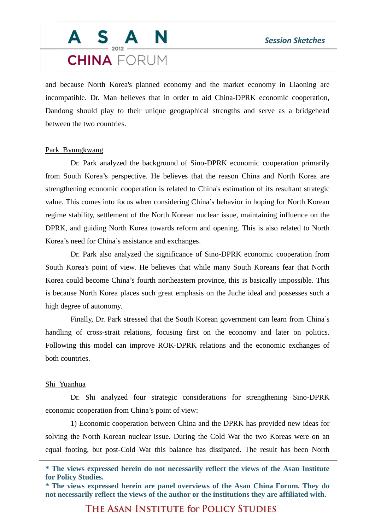## S A N **CHINA** FORUM

and because North Korea's planned economy and the market economy in Liaoning are incompatible. Dr. Man believes that in order to aid China-DPRK economic cooperation, Dandong should play to their unique geographical strengths and serve as a bridgehead between the two countries.

#### Park Byungkwang

Dr. Park analyzed the background of Sino-DPRK economic cooperation primarily from South Korea's perspective. He believes that the reason China and North Korea are strengthening economic cooperation is related to China's estimation of its resultant strategic value. This comes into focus when considering China's behavior in hoping for North Korean regime stability, settlement of the North Korean nuclear issue, maintaining influence on the DPRK, and guiding North Korea towards reform and opening. This is also related to North Korea's need for China's assistance and exchanges.

Dr. Park also analyzed the significance of Sino-DPRK economic cooperation from South Korea's point of view. He believes that while many South Koreans fear that North Korea could become China's fourth northeastern province, this is basically impossible. This is because North Korea places such great emphasis on the Juche ideal and possesses such a high degree of autonomy.

Finally, Dr. Park stressed that the South Korean government can learn from China's handling of cross-strait relations, focusing first on the economy and later on politics. Following this model can improve ROK-DPRK relations and the economic exchanges of both countries.

#### Shi Yuanhua

Dr. Shi analyzed four strategic considerations for strengthening Sino-DPRK economic cooperation from China's point of view:

1) Economic cooperation between China and the DPRK has provided new ideas for solving the North Korean nuclear issue. During the Cold War the two Koreas were on an equal footing, but post-Cold War this balance has dissipated. The result has been North

**<sup>\*</sup> The views expressed herein do not necessarily reflect the views of the Asan Institute for Policy Studies.**

**<sup>\*</sup> The views expressed herein are panel overviews of the Asan China Forum. They do not necessarily reflect the views of the author or the institutions they are affiliated with.**